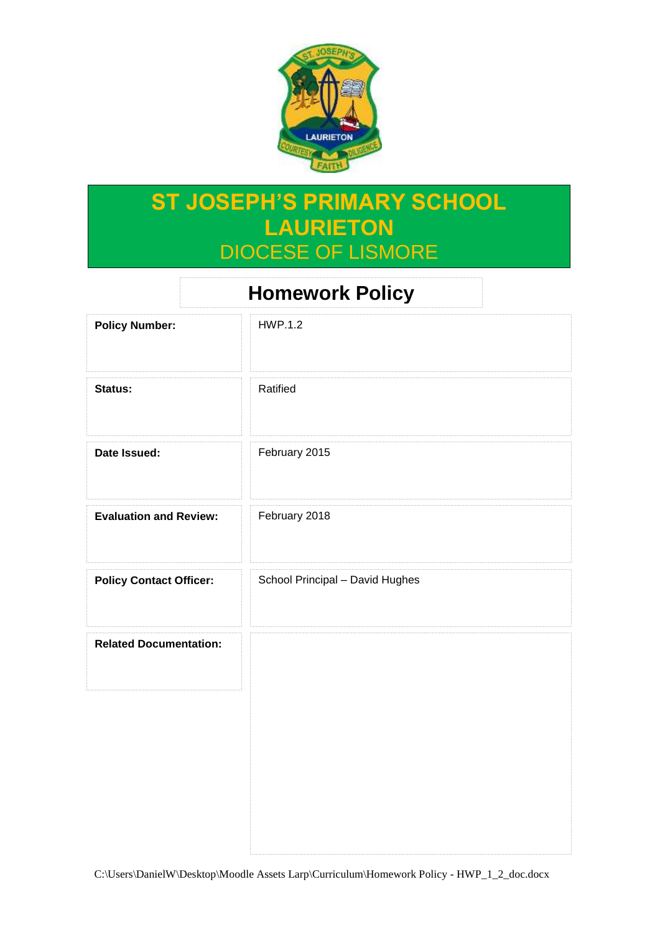

# **ST JOSEPH'S PRIMARY SCHOOL LAURIETON** DIOCESE OF LISMORE

| <b>Homework Policy</b>         |                                 |
|--------------------------------|---------------------------------|
| <b>Policy Number:</b>          | <b>HWP.1.2</b>                  |
| Status:                        | Ratified                        |
| Date Issued:                   | February 2015                   |
| <b>Evaluation and Review:</b>  | February 2018                   |
| <b>Policy Contact Officer:</b> | School Principal - David Hughes |
| <b>Related Documentation:</b>  |                                 |
|                                |                                 |
|                                |                                 |
|                                |                                 |

C:\Users\DanielW\Desktop\Moodle Assets Larp\Curriculum\Homework Policy - HWP\_1\_2\_doc.docx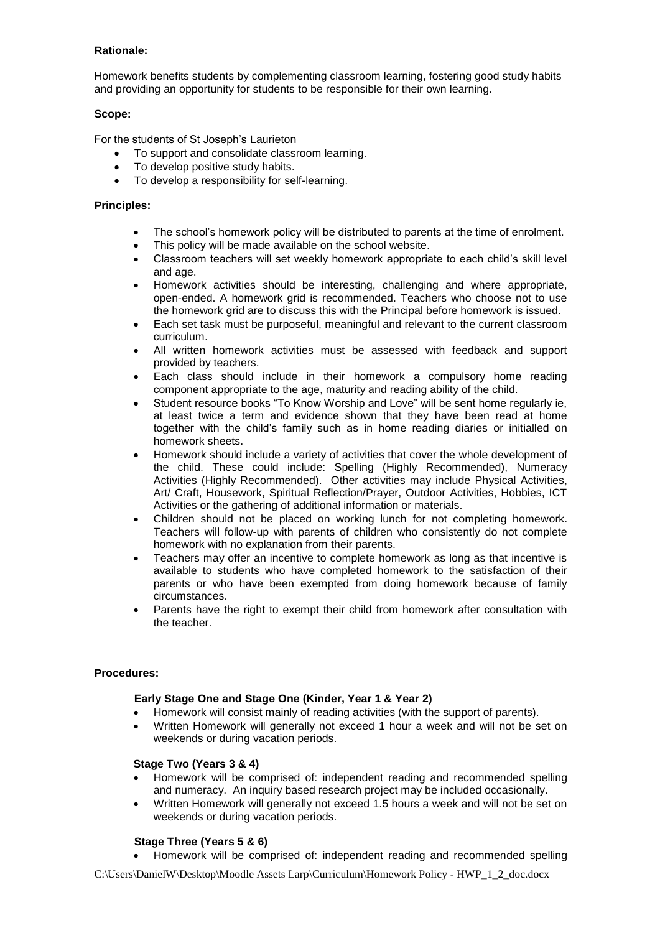## **Rationale:**

Homework benefits students by complementing classroom learning, fostering good study habits and providing an opportunity for students to be responsible for their own learning.

## **Scope:**

For the students of St Joseph's Laurieton

- To support and consolidate classroom learning.
- To develop positive study habits.
- To develop a responsibility for self-learning.

## **Principles:**

- The school's homework policy will be distributed to parents at the time of enrolment.
- This policy will be made available on the school website.
- Classroom teachers will set weekly homework appropriate to each child's skill level and age.
- Homework activities should be interesting, challenging and where appropriate, open-ended. A homework grid is recommended. Teachers who choose not to use the homework grid are to discuss this with the Principal before homework is issued.
- Each set task must be purposeful, meaningful and relevant to the current classroom curriculum.
- All written homework activities must be assessed with feedback and support provided by teachers.
- Each class should include in their homework a compulsory home reading component appropriate to the age, maturity and reading ability of the child.
- Student resource books "To Know Worship and Love" will be sent home regularly ie, at least twice a term and evidence shown that they have been read at home together with the child's family such as in home reading diaries or initialled on homework sheets.
- Homework should include a variety of activities that cover the whole development of the child. These could include: Spelling (Highly Recommended), Numeracy Activities (Highly Recommended). Other activities may include Physical Activities, Art/ Craft, Housework, Spiritual Reflection/Prayer, Outdoor Activities, Hobbies, ICT Activities or the gathering of additional information or materials.
- Children should not be placed on working lunch for not completing homework. Teachers will follow-up with parents of children who consistently do not complete homework with no explanation from their parents.
- Teachers may offer an incentive to complete homework as long as that incentive is available to students who have completed homework to the satisfaction of their parents or who have been exempted from doing homework because of family circumstances.
- Parents have the right to exempt their child from homework after consultation with the teacher.

# **Procedures:**

### **Early Stage One and Stage One (Kinder, Year 1 & Year 2)**

- Homework will consist mainly of reading activities (with the support of parents).
- Written Homework will generally not exceed 1 hour a week and will not be set on weekends or during vacation periods.

### **Stage Two (Years 3 & 4)**

- Homework will be comprised of: independent reading and recommended spelling and numeracy. An inquiry based research project may be included occasionally.
- Written Homework will generally not exceed 1.5 hours a week and will not be set on weekends or during vacation periods.

# **Stage Three (Years 5 & 6)**

Homework will be comprised of: independent reading and recommended spelling

C:\Users\DanielW\Desktop\Moodle Assets Larp\Curriculum\Homework Policy - HWP\_1\_2\_doc.docx